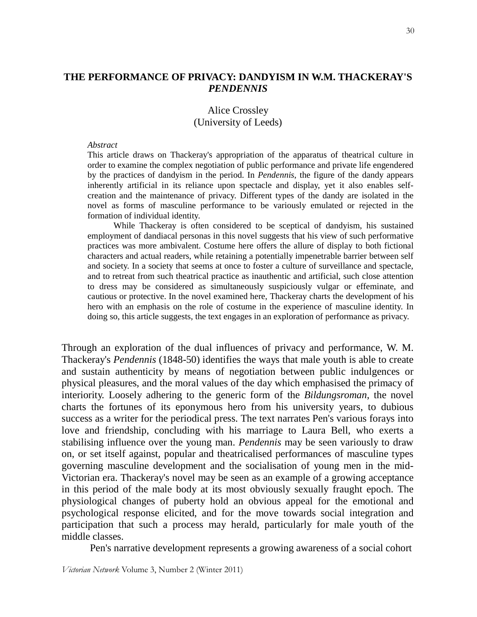## **THE PERFORMANCE OF PRIVACY: DANDYISM IN W.M. THACKERAY'S**  *PENDENNIS*

## Alice Crossley (University of Leeds)

## *Abstract*

 This article draws on Thackeray's appropriation of the apparatus of theatrical culture in order to examine the complex negotiation of public performance and private life engendered by the practices of dandyism in the period. In *Pendennis*, the figure of the dandy appears inherently artificial in its reliance upon spectacle and display, yet it also enables self creation and the maintenance of privacy. Different types of the dandy are isolated in the novel as forms of masculine performance to be variously emulated or rejected in the formation of individual identity.

 While Thackeray is often considered to be sceptical of dandyism, his sustained employment of dandiacal personas in this novel suggests that his view of such performative practices was more ambivalent. Costume here offers the allure of display to both fictional characters and actual readers, while retaining a potentially impenetrable barrier between self and society. In a society that seems at once to foster a culture of surveillance and spectacle, and to retreat from such theatrical practice as inauthentic and artificial, such close attention to dress may be considered as simultaneously suspiciously vulgar or effeminate, and cautious or protective. In the novel examined here, Thackeray charts the development of his hero with an emphasis on the role of costume in the experience of masculine identity. In doing so, this article suggests, the text engages in an exploration of performance as privacy.

Through an exploration of the dual influences of privacy and performance, W. M. Thackeray's *Pendennis* (1848-50) identifies the ways that male youth is able to create and sustain authenticity by means of negotiation between public indulgences or physical pleasures, and the moral values of the day which emphasised the primacy of interiority. Loosely adhering to the generic form of the *Bildungsroman*, the novel charts the fortunes of its eponymous hero from his university years, to dubious success as a writer for the periodical press. The text narrates Pen's various forays into love and friendship, concluding with his marriage to Laura Bell, who exerts a stabilising influence over the young man. *Pendennis* may be seen variously to draw on, or set itself against, popular and theatricalised performances of masculine types governing masculine development and the socialisation of young men in the mid-Victorian era. Thackeray's novel may be seen as an example of a growing acceptance in this period of the male body at its most obviously sexually fraught epoch. The physiological changes of puberty hold an obvious appeal for the emotional and psychological response elicited, and for the move towards social integration and participation that such a process may herald, particularly for male youth of the middle classes.

Pen's narrative development represents a growing awareness of a social cohort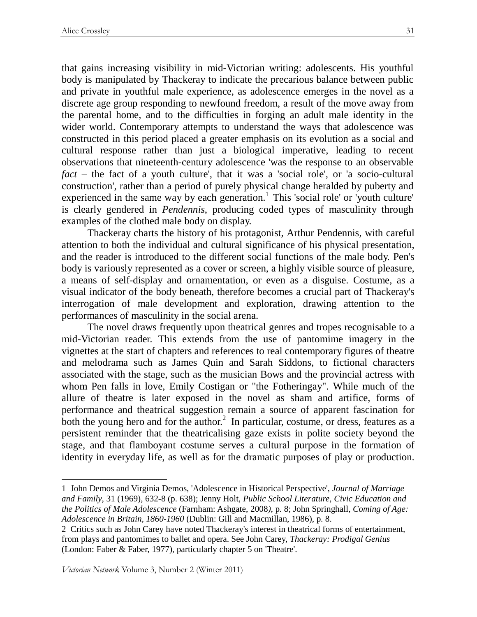that gains increasing visibility in mid-Victorian writing: adolescents. His youthful body is manipulated by Thackeray to indicate the precarious balance between public and private in youthful male experience, as adolescence emerges in the novel as a discrete age group responding to newfound freedom, a result of the move away from the parental home, and to the difficulties in forging an adult male identity in the wider world. Contemporary attempts to understand the ways that adolescence was constructed in this period placed a greater emphasis on its evolution as a social and cultural response rather than just a biological imperative, leading to recent observations that nineteenth-century adolescence 'was the response to an observable *fact* – the fact of a youth culture', that it was a 'social role', or 'a socio-cultural construction', rather than a period of purely physical change heralded by puberty and experienced in the same way by each generation.<sup>1</sup> This 'social role' or 'youth culture' is clearly gendered in *Pendennis*, producing coded types of masculinity through examples of the clothed male body on display.

Thackeray charts the history of his protagonist, Arthur Pendennis, with careful attention to both the individual and cultural significance of his physical presentation, and the reader is introduced to the different social functions of the male body. Pen's body is variously represented as a cover or screen, a highly visible source of pleasure, a means of self-display and ornamentation, or even as a disguise. Costume, as a visual indicator of the body beneath, therefore becomes a crucial part of Thackeray's interrogation of male development and exploration, drawing attention to the performances of masculinity in the social arena.

 The novel draws frequently upon theatrical genres and tropes recognisable to a mid-Victorian reader. This extends from the use of pantomime imagery in the vignettes at the start of chapters and references to real contemporary figures of theatre and melodrama such as James Quin and Sarah Siddons, to fictional characters associated with the stage, such as the musician Bows and the provincial actress with whom Pen falls in love, Emily Costigan or "the Fotheringay". While much of the allure of theatre is later exposed in the novel as sham and artifice, forms of performance and theatrical suggestion remain a source of apparent fascination for both the young hero and for the author.<sup>2</sup> In particular, costume, or dress, features as a persistent reminder that the theatricalising gaze exists in polite society beyond the stage, and that flamboyant costume serves a cultural purpose in the formation of identity in everyday life, as well as for the dramatic purposes of play or production.

Victorian Network Volume 3, Number 2 (Winter 2011)

<sup>1</sup> John Demos and Virginia Demos, 'Adolescence in Historical Perspective', *Journal of Marriage and Family*, 31 (1969), 632-8 (p. 638); Jenny Holt, *Public School Literature, Civic Education and the Politics of Male Adolescence* (Farnham: Ashgate, 2008*)*, p. 8; John Springhall, *Coming of Age: Adolescence in Britain, 1860-1960* (Dublin: Gill and Macmillan, 1986), p. 8.

<sup>2</sup> Critics such as John Carey have noted Thackeray's interest in theatrical forms of entertainment, from plays and pantomimes to ballet and opera. See John Carey, *Thackeray: Prodigal Genius* (London: Faber & Faber, 1977), particularly chapter 5 on 'Theatre'.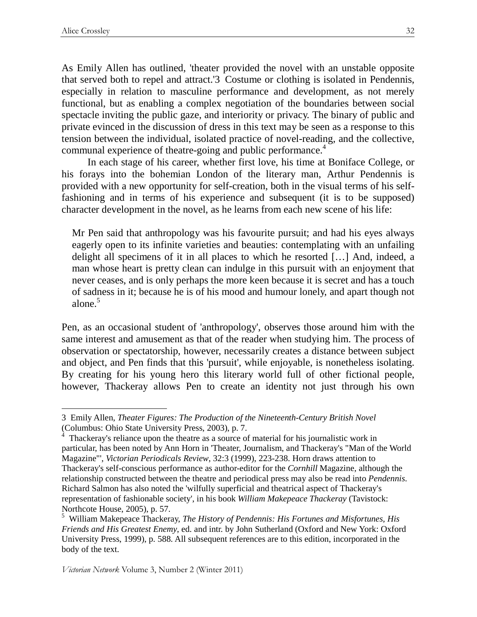$\overline{a}$ 

As Emily Allen has outlined, 'theater provided the novel with an unstable opposite that served both to repel and attract.'3 Costume or clothing is isolated in Pendennis, especially in relation to masculine performance and development, as not merely functional, but as enabling a complex negotiation of the boundaries between social spectacle inviting the public gaze, and interiority or privacy. The binary of public and private evinced in the discussion of dress in this text may be seen as a response to this tension between the individual, isolated practice of novel-reading, and the collective, communal experience of theatre-going and public performance.<sup>4</sup>

 In each stage of his career, whether first love, his time at Boniface College, or his forays into the bohemian London of the literary man, Arthur Pendennis is provided with a new opportunity for self-creation, both in the visual terms of his selffashioning and in terms of his experience and subsequent (it is to be supposed) character development in the novel, as he learns from each new scene of his life:

Mr Pen said that anthropology was his favourite pursuit; and had his eyes always eagerly open to its infinite varieties and beauties: contemplating with an unfailing delight all specimens of it in all places to which he resorted […] And, indeed, a man whose heart is pretty clean can indulge in this pursuit with an enjoyment that never ceases, and is only perhaps the more keen because it is secret and has a touch of sadness in it; because he is of his mood and humour lonely, and apart though not alone.<sup>5</sup>

Pen, as an occasional student of 'anthropology', observes those around him with the same interest and amusement as that of the reader when studying him. The process of observation or spectatorship, however, necessarily creates a distance between subject and object, and Pen finds that this 'pursuit', while enjoyable, is nonetheless isolating. By creating for his young hero this literary world full of other fictional people, however, Thackeray allows Pen to create an identity not just through his own

<sup>3</sup> Emily Allen, *Theater Figures: The Production of the Nineteenth-Century British Novel* (Columbus: Ohio State University Press, 2003), p. 7.

<sup>&</sup>lt;sup>4</sup> Thackeray's reliance upon the theatre as a source of material for his journalistic work in particular, has been noted by Ann Horn in 'Theater, Journalism, and Thackeray's "Man of the World Magazine"', *Victorian Periodicals Review*, 32:3 (1999), 223-238. Horn draws attention to Thackeray's self-conscious performance as author-editor for the *Cornhill* Magazine, although the relationship constructed between the theatre and periodical press may also be read into *Pendennis*. Richard Salmon has also noted the 'wilfully superficial and theatrical aspect of Thackeray's representation of fashionable society', in his book *William Makepeace Thackeray* (Tavistock: Northcote House, 2005), p. 57.

<sup>5</sup> William Makepeace Thackeray, *The History of Pendennis: His Fortunes and Misfortunes, His Friends and His Greatest Enemy*, ed. and intr. by John Sutherland (Oxford and New York: Oxford University Press, 1999), p. 588. All subsequent references are to this edition, incorporated in the body of the text.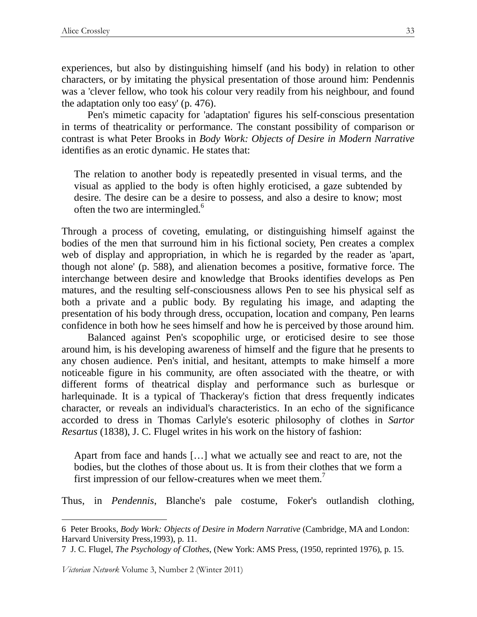experiences, but also by distinguishing himself (and his body) in relation to other characters, or by imitating the physical presentation of those around him: Pendennis was a 'clever fellow, who took his colour very readily from his neighbour, and found the adaptation only too easy' (p. 476).

 Pen's mimetic capacity for 'adaptation' figures his self-conscious presentation in terms of theatricality or performance. The constant possibility of comparison or contrast is what Peter Brooks in *Body Work: Objects of Desire in Modern Narrative* identifies as an erotic dynamic. He states that:

The relation to another body is repeatedly presented in visual terms, and the visual as applied to the body is often highly eroticised, a gaze subtended by desire. The desire can be a desire to possess, and also a desire to know; most often the two are intermingled.<sup>6</sup>

Through a process of coveting, emulating, or distinguishing himself against the bodies of the men that surround him in his fictional society, Pen creates a complex web of display and appropriation, in which he is regarded by the reader as 'apart, though not alone' (p. 588), and alienation becomes a positive, formative force. The interchange between desire and knowledge that Brooks identifies develops as Pen matures, and the resulting self-consciousness allows Pen to see his physical self as both a private and a public body. By regulating his image, and adapting the presentation of his body through dress, occupation, location and company, Pen learns confidence in both how he sees himself and how he is perceived by those around him.

 Balanced against Pen's scopophilic urge, or eroticised desire to see those around him, is his developing awareness of himself and the figure that he presents to any chosen audience. Pen's initial, and hesitant, attempts to make himself a more noticeable figure in his community, are often associated with the theatre, or with different forms of theatrical display and performance such as burlesque or harlequinade. It is a typical of Thackeray's fiction that dress frequently indicates character, or reveals an individual's characteristics. In an echo of the significance accorded to dress in Thomas Carlyle's esoteric philosophy of clothes in *Sartor Resartus* (1838), J. C. Flugel writes in his work on the history of fashion:

Apart from face and hands […] what we actually see and react to are, not the bodies, but the clothes of those about us. It is from their clothes that we form a first impression of our fellow-creatures when we meet them.<sup>7</sup>

Thus, in *Pendennis*, Blanche's pale costume, Foker's outlandish clothing,

Victorian Network Volume 3, Number 2 (Winter 2011)

<sup>6</sup> Peter Brooks, *Body Work: Objects of Desire in Modern Narrative* (Cambridge, MA and London: Harvard University Press,1993), p. 11.

<sup>7</sup> J. C. Flugel, *The Psychology of Clothes*, (New York: AMS Press, (1950, reprinted 1976), p. 15.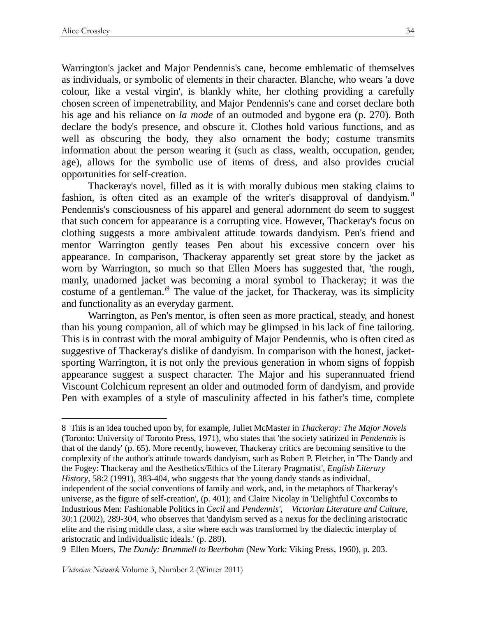$\overline{a}$ 

Warrington's jacket and Major Pendennis's cane, become emblematic of themselves as individuals, or symbolic of elements in their character. Blanche, who wears 'a dove colour, like a vestal virgin', is blankly white, her clothing providing a carefully chosen screen of impenetrability, and Major Pendennis's cane and corset declare both his age and his reliance on *la mode* of an outmoded and bygone era (p. 270). Both declare the body's presence, and obscure it. Clothes hold various functions, and as well as obscuring the body, they also ornament the body; costume transmits information about the person wearing it (such as class, wealth, occupation, gender, age), allows for the symbolic use of items of dress, and also provides crucial opportunities for self-creation.

 Thackeray's novel, filled as it is with morally dubious men staking claims to fashion, is often cited as an example of the writer's disapproval of dandyism.<sup>8</sup> Pendennis's consciousness of his apparel and general adornment do seem to suggest that such concern for appearance is a corrupting vice. However, Thackeray's focus on clothing suggests a more ambivalent attitude towards dandyism. Pen's friend and mentor Warrington gently teases Pen about his excessive concern over his appearance. In comparison, Thackeray apparently set great store by the jacket as worn by Warrington, so much so that Ellen Moers has suggested that, 'the rough, manly, unadorned jacket was becoming a moral symbol to Thackeray; it was the costume of a gentleman.<sup>9</sup> The value of the jacket, for Thackeray, was its simplicity and functionality as an everyday garment.

Warrington, as Pen's mentor, is often seen as more practical, steady, and honest than his young companion, all of which may be glimpsed in his lack of fine tailoring. This is in contrast with the moral ambiguity of Major Pendennis, who is often cited as suggestive of Thackeray's dislike of dandyism. In comparison with the honest, jacketsporting Warrington, it is not only the previous generation in whom signs of foppish appearance suggest a suspect character. The Major and his superannuated friend Viscount Colchicum represent an older and outmoded form of dandyism, and provide Pen with examples of a style of masculinity affected in his father's time, complete

8 This is an idea touched upon by, for example, Juliet McMaster in *Thackeray: The Major Novels* (Toronto: University of Toronto Press, 1971), who states that 'the society satirized in *Pendennis* is that of the dandy' (p. 65). More recently, however, Thackeray critics are becoming sensitive to the complexity of the author's attitude towards dandyism, such as Robert P. Fletcher, in 'The Dandy and the Fogey: Thackeray and the Aesthetics/Ethics of the Literary Pragmatist', *English Literary History*, 58:2 (1991), 383-404, who suggests that 'the young dandy stands as individual, independent of the social conventions of family and work, and, in the metaphors of Thackeray's universe, as the figure of self-creation', (p. 401); and Claire Nicolay in 'Delightful Coxcombs to Industrious Men: Fashionable Politics in *Cecil* and *Pendennis'*, *Victorian Literature and Culture*, 30:1 (2002), 289-304, who observes that 'dandyism served as a nexus for the declining aristocratic elite and the rising middle class, a site where each was transformed by the dialectic interplay of aristocratic and individualistic ideals.' (p. 289).

9 Ellen Moers, *The Dandy: Brummell to Beerbohm* (New York: Viking Press, 1960), p. 203.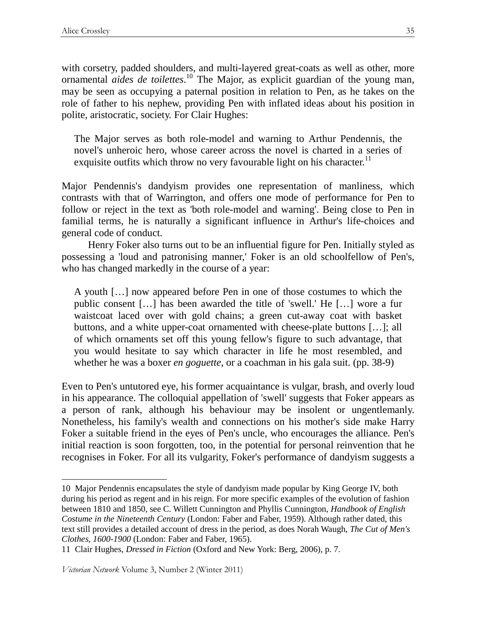with corsetry, padded shoulders, and multi-layered great-coats as well as other, more ornamental *aides de toilettes*. <sup>10</sup> The Major, as explicit guardian of the young man, may be seen as occupying a paternal position in relation to Pen, as he takes on the role of father to his nephew, providing Pen with inflated ideas about his position in polite, aristocratic, society. For Clair Hughes:

The Major serves as both role-model and warning to Arthur Pendennis, the novel's unheroic hero, whose career across the novel is charted in a series of exquisite outfits which throw no very favourable light on his character.<sup>11</sup>

Major Pendennis's dandyism provides one representation of manliness, which contrasts with that of Warrington, and offers one mode of performance for Pen to follow or reject in the text as 'both role-model and warning'. Being close to Pen in familial terms, he is naturally a significant influence in Arthur's life-choices and general code of conduct.

Henry Foker also turns out to be an influential figure for Pen. Initially styled as possessing a 'loud and patronising manner,' Foker is an old schoolfellow of Pen's, who has changed markedly in the course of a year:

A youth […] now appeared before Pen in one of those costumes to which the public consent […] has been awarded the title of 'swell.' He […] wore a fur waistcoat laced over with gold chains; a green cut-away coat with basket buttons, and a white upper-coat ornamented with cheese-plate buttons […]; all of which ornaments set off this young fellow's figure to such advantage, that you would hesitate to say which character in life he most resembled, and whether he was a boxer *en goguette*, or a coachman in his gala suit. (pp. 38-9)

Even to Pen's untutored eye, his former acquaintance is vulgar, brash, and overly loud in his appearance. The colloquial appellation of 'swell' suggests that Foker appears as a person of rank, although his behaviour may be insolent or ungentlemanly. Nonetheless, his family's wealth and connections on his mother's side make Harry Foker a suitable friend in the eyes of Pen's uncle, who encourages the alliance. Pen's initial reaction is soon forgotten, too, in the potential for personal reinvention that he recognises in Foker. For all its vulgarity, Foker's performance of dandyism suggests a

 $\overline{a}$ 10 Major Pendennis encapsulates the style of dandyism made popular by King George IV, both during his period as regent and in his reign. For more specific examples of the evolution of fashion between 1810 and 1850, see C. Willett Cunnington and Phyllis Cunnington, *Handbook of English Costume in the Nineteenth Century* (London: Faber and Faber, 1959). Although rather dated, this text still provides a detailed account of dress in the period, as does Norah Waugh, *The Cut of Men's Clothes, 1600-1900* (London: Faber and Faber, 1965).

<sup>11</sup> Clair Hughes, *Dressed in Fiction* (Oxford and New York: Berg, 2006), p. 7.

Victorian Network Volume 3, Number 2 (Winter 2011)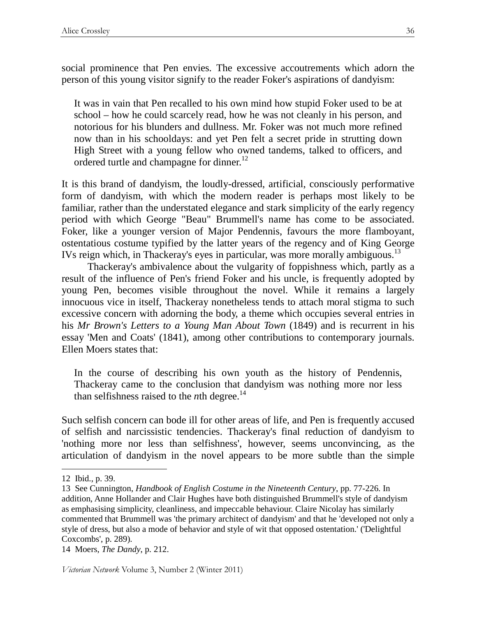social prominence that Pen envies. The excessive accoutrements which adorn the person of this young visitor signify to the reader Foker's aspirations of dandyism:

It was in vain that Pen recalled to his own mind how stupid Foker used to be at school – how he could scarcely read, how he was not cleanly in his person, and notorious for his blunders and dullness. Mr. Foker was not much more refined now than in his schooldays: and yet Pen felt a secret pride in strutting down High Street with a young fellow who owned tandems, talked to officers, and ordered turtle and champagne for dinner.<sup>12</sup>

It is this brand of dandyism, the loudly-dressed, artificial, consciously performative form of dandyism, with which the modern reader is perhaps most likely to be familiar, rather than the understated elegance and stark simplicity of the early regency period with which George "Beau" Brummell's name has come to be associated. Foker, like a younger version of Major Pendennis, favours the more flamboyant, ostentatious costume typified by the latter years of the regency and of King George IVs reign which, in Thackeray's eyes in particular, was more morally ambiguous.<sup>13</sup>

 Thackeray's ambivalence about the vulgarity of foppishness which, partly as a result of the influence of Pen's friend Foker and his uncle, is frequently adopted by young Pen, becomes visible throughout the novel. While it remains a largely innocuous vice in itself, Thackeray nonetheless tends to attach moral stigma to such excessive concern with adorning the body, a theme which occupies several entries in his *Mr Brown's Letters to a Young Man About Town* (1849) and is recurrent in his essay 'Men and Coats' (1841), among other contributions to contemporary journals. Ellen Moers states that:

In the course of describing his own youth as the history of Pendennis, Thackeray came to the conclusion that dandyism was nothing more nor less than selfishness raised to the *n*th degree.<sup>14</sup>

Such selfish concern can bode ill for other areas of life, and Pen is frequently accused of selfish and narcissistic tendencies. Thackeray's final reduction of dandyism to 'nothing more nor less than selfishness', however, seems unconvincing, as the articulation of dandyism in the novel appears to be more subtle than the simple

 $\overline{a}$ 

14 Moers, *The Dandy*, p. 212.

<sup>12</sup> Ibid., p. 39.

<sup>13</sup> See Cunnington, *Handbook of English Costume in the Nineteenth Century*, pp. 77-226. In addition, Anne Hollander and Clair Hughes have both distinguished Brummell's style of dandyism as emphasising simplicity, cleanliness, and impeccable behaviour. Claire Nicolay has similarly commented that Brummell was 'the primary architect of dandyism' and that he 'developed not only a style of dress, but also a mode of behavior and style of wit that opposed ostentation.' ('Delightful Coxcombs', p. 289).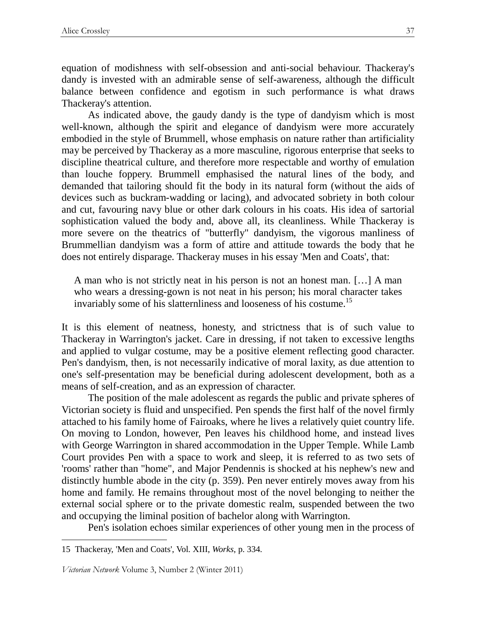equation of modishness with self-obsession and anti-social behaviour. Thackeray's dandy is invested with an admirable sense of self-awareness, although the difficult balance between confidence and egotism in such performance is what draws Thackeray's attention.

As indicated above, the gaudy dandy is the type of dandyism which is most well-known, although the spirit and elegance of dandyism were more accurately embodied in the style of Brummell, whose emphasis on nature rather than artificiality may be perceived by Thackeray as a more masculine, rigorous enterprise that seeks to discipline theatrical culture, and therefore more respectable and worthy of emulation than louche foppery. Brummell emphasised the natural lines of the body, and demanded that tailoring should fit the body in its natural form (without the aids of devices such as buckram-wadding or lacing), and advocated sobriety in both colour and cut, favouring navy blue or other dark colours in his coats. His idea of sartorial sophistication valued the body and, above all, its cleanliness. While Thackeray is more severe on the theatrics of "butterfly" dandyism, the vigorous manliness of Brummellian dandyism was a form of attire and attitude towards the body that he does not entirely disparage. Thackeray muses in his essay 'Men and Coats', that:

A man who is not strictly neat in his person is not an honest man. […] A man who wears a dressing-gown is not neat in his person; his moral character takes invariably some of his slatternliness and looseness of his costume.<sup>15</sup>

It is this element of neatness, honesty, and strictness that is of such value to Thackeray in Warrington's jacket. Care in dressing, if not taken to excessive lengths and applied to vulgar costume, may be a positive element reflecting good character. Pen's dandyism, then, is not necessarily indicative of moral laxity, as due attention to one's self-presentation may be beneficial during adolescent development, both as a means of self-creation, and as an expression of character.

The position of the male adolescent as regards the public and private spheres of Victorian society is fluid and unspecified. Pen spends the first half of the novel firmly attached to his family home of Fairoaks, where he lives a relatively quiet country life. On moving to London, however, Pen leaves his childhood home, and instead lives with George Warrington in shared accommodation in the Upper Temple. While Lamb Court provides Pen with a space to work and sleep, it is referred to as two sets of 'rooms' rather than "home", and Major Pendennis is shocked at his nephew's new and distinctly humble abode in the city (p. 359). Pen never entirely moves away from his home and family. He remains throughout most of the novel belonging to neither the external social sphere or to the private domestic realm, suspended between the two and occupying the liminal position of bachelor along with Warrington.

Pen's isolation echoes similar experiences of other young men in the process of

<sup>15</sup> Thackeray, 'Men and Coats', Vol. XIII, *Works*, p. 334.

Victorian Network Volume 3, Number 2 (Winter 2011)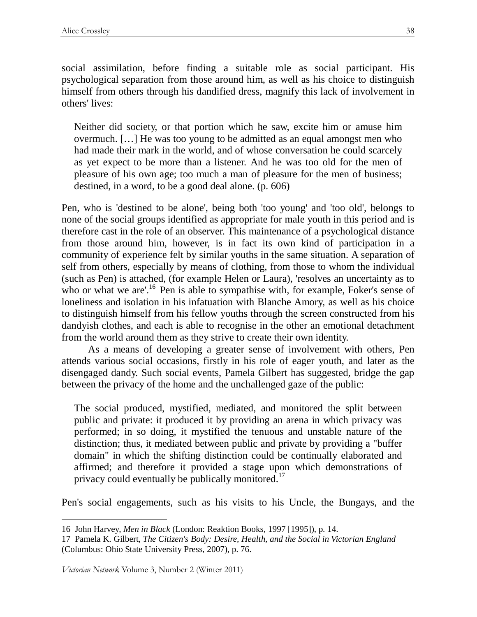social assimilation, before finding a suitable role as social participant. His psychological separation from those around him, as well as his choice to distinguish himself from others through his dandified dress, magnify this lack of involvement in others' lives:

Neither did society, or that portion which he saw, excite him or amuse him overmuch. […] He was too young to be admitted as an equal amongst men who had made their mark in the world, and of whose conversation he could scarcely as yet expect to be more than a listener. And he was too old for the men of pleasure of his own age; too much a man of pleasure for the men of business; destined, in a word, to be a good deal alone. (p. 606)

Pen, who is 'destined to be alone', being both 'too young' and 'too old', belongs to none of the social groups identified as appropriate for male youth in this period and is therefore cast in the role of an observer. This maintenance of a psychological distance from those around him, however, is in fact its own kind of participation in a community of experience felt by similar youths in the same situation. A separation of self from others, especially by means of clothing, from those to whom the individual (such as Pen) is attached, (for example Helen or Laura), 'resolves an uncertainty as to who or what we are'.<sup>16</sup> Pen is able to sympathise with, for example, Foker's sense of loneliness and isolation in his infatuation with Blanche Amory, as well as his choice to distinguish himself from his fellow youths through the screen constructed from his dandyish clothes, and each is able to recognise in the other an emotional detachment from the world around them as they strive to create their own identity.

As a means of developing a greater sense of involvement with others, Pen attends various social occasions, firstly in his role of eager youth, and later as the disengaged dandy. Such social events, Pamela Gilbert has suggested, bridge the gap between the privacy of the home and the unchallenged gaze of the public:

The social produced, mystified, mediated, and monitored the split between public and private: it produced it by providing an arena in which privacy was performed; in so doing, it mystified the tenuous and unstable nature of the distinction; thus, it mediated between public and private by providing a "buffer domain" in which the shifting distinction could be continually elaborated and affirmed; and therefore it provided a stage upon which demonstrations of privacy could eventually be publically monitored.<sup>17</sup>

Pen's social engagements, such as his visits to his Uncle, the Bungays, and the

Victorian Network Volume 3, Number 2 (Winter 2011)

<sup>16</sup> John Harvey, *Men in Black* (London: Reaktion Books, 1997 [1995]), p. 14.

<sup>17</sup> Pamela K. Gilbert, *The Citizen's Body: Desire, Health, and the Social in Victorian England* (Columbus: Ohio State University Press, 2007), p. 76.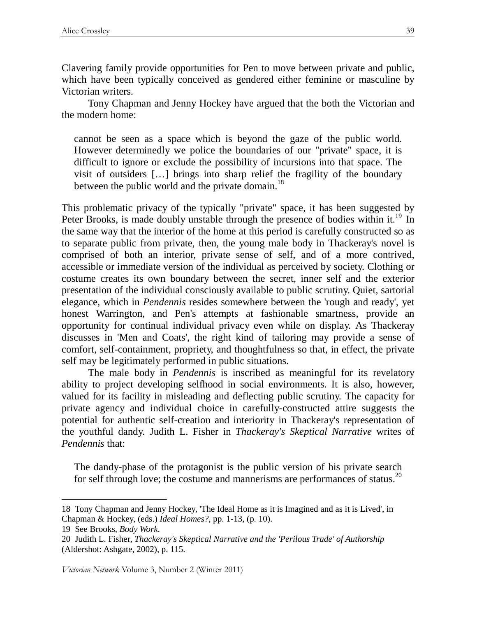Clavering family provide opportunities for Pen to move between private and public, which have been typically conceived as gendered either feminine or masculine by Victorian writers.

Tony Chapman and Jenny Hockey have argued that the both the Victorian and the modern home:

cannot be seen as a space which is beyond the gaze of the public world. However determinedly we police the boundaries of our "private" space, it is difficult to ignore or exclude the possibility of incursions into that space. The visit of outsiders […] brings into sharp relief the fragility of the boundary between the public world and the private domain.<sup>18</sup>

This problematic privacy of the typically "private" space, it has been suggested by Peter Brooks, is made doubly unstable through the presence of bodies within it.<sup>19</sup> In the same way that the interior of the home at this period is carefully constructed so as to separate public from private, then, the young male body in Thackeray's novel is comprised of both an interior, private sense of self, and of a more contrived, accessible or immediate version of the individual as perceived by society. Clothing or costume creates its own boundary between the secret, inner self and the exterior presentation of the individual consciously available to public scrutiny. Quiet, sartorial elegance, which in *Pendennis* resides somewhere between the 'rough and ready', yet honest Warrington, and Pen's attempts at fashionable smartness, provide an opportunity for continual individual privacy even while on display. As Thackeray discusses in 'Men and Coats', the right kind of tailoring may provide a sense of comfort, self-containment, propriety, and thoughtfulness so that, in effect, the private self may be legitimately performed in public situations.

The male body in *Pendennis* is inscribed as meaningful for its revelatory ability to project developing selfhood in social environments. It is also, however, valued for its facility in misleading and deflecting public scrutiny. The capacity for private agency and individual choice in carefully-constructed attire suggests the potential for authentic self-creation and interiority in Thackeray's representation of the youthful dandy. Judith L. Fisher in *Thackeray's Skeptical Narrative* writes of *Pendennis* that:

The dandy-phase of the protagonist is the public version of his private search for self through love; the costume and mannerisms are performances of status.<sup>20</sup>

<sup>18</sup> Tony Chapman and Jenny Hockey, 'The Ideal Home as it is Imagined and as it is Lived', in Chapman & Hockey, (eds.) *Ideal Homes?*, pp. 1-13, (p. 10).

<sup>19</sup> See Brooks, *Body Work*.

<sup>20</sup> Judith L. Fisher*, Thackeray's Skeptical Narrative and the 'Perilous Trade' of Authorship* (Aldershot: Ashgate, 2002), p. 115.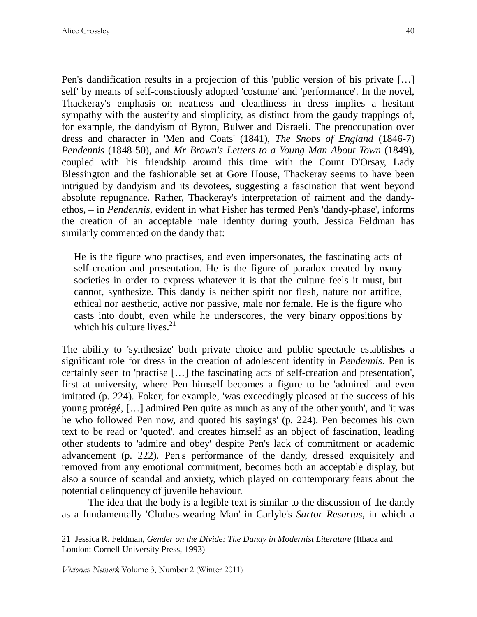Pen's dandification results in a projection of this 'public version of his private […] self' by means of self-consciously adopted 'costume' and 'performance'. In the novel, Thackeray's emphasis on neatness and cleanliness in dress implies a hesitant sympathy with the austerity and simplicity, as distinct from the gaudy trappings of, for example, the dandyism of Byron, Bulwer and Disraeli. The preoccupation over dress and character in 'Men and Coats' (1841), *The Snobs of England* (1846-7) *Pendennis* (1848-50), and *Mr Brown's Letters to a Young Man About Town* (1849), coupled with his friendship around this time with the Count D'Orsay, Lady Blessington and the fashionable set at Gore House, Thackeray seems to have been intrigued by dandyism and its devotees, suggesting a fascination that went beyond absolute repugnance. Rather, Thackeray's interpretation of raiment and the dandyethos, – in *Pendennis*, evident in what Fisher has termed Pen's 'dandy-phase', informs the creation of an acceptable male identity during youth. Jessica Feldman has similarly commented on the dandy that:

He is the figure who practises, and even impersonates, the fascinating acts of self-creation and presentation. He is the figure of paradox created by many societies in order to express whatever it is that the culture feels it must, but cannot, synthesize. This dandy is neither spirit nor flesh, nature nor artifice, ethical nor aesthetic, active nor passive, male nor female. He is the figure who casts into doubt, even while he underscores, the very binary oppositions by which his culture lives. $21$ 

The ability to 'synthesize' both private choice and public spectacle establishes a significant role for dress in the creation of adolescent identity in *Pendennis*. Pen is certainly seen to 'practise […] the fascinating acts of self-creation and presentation', first at university, where Pen himself becomes a figure to be 'admired' and even imitated (p. 224). Foker, for example, 'was exceedingly pleased at the success of his young protégé, […] admired Pen quite as much as any of the other youth', and 'it was he who followed Pen now, and quoted his sayings' (p. 224). Pen becomes his own text to be read or 'quoted', and creates himself as an object of fascination, leading other students to 'admire and obey' despite Pen's lack of commitment or academic advancement (p. 222). Pen's performance of the dandy, dressed exquisitely and removed from any emotional commitment, becomes both an acceptable display, but also a source of scandal and anxiety, which played on contemporary fears about the potential delinquency of juvenile behaviour.

The idea that the body is a legible text is similar to the discussion of the dandy as a fundamentally 'Clothes-wearing Man' in Carlyle's *Sartor Resartus*, in which a

<sup>21</sup> Jessica R. Feldman, *Gender on the Divide: The Dandy in Modernist Literature* (Ithaca and London: Cornell University Press, 1993)

Victorian Network Volume 3, Number 2 (Winter 2011)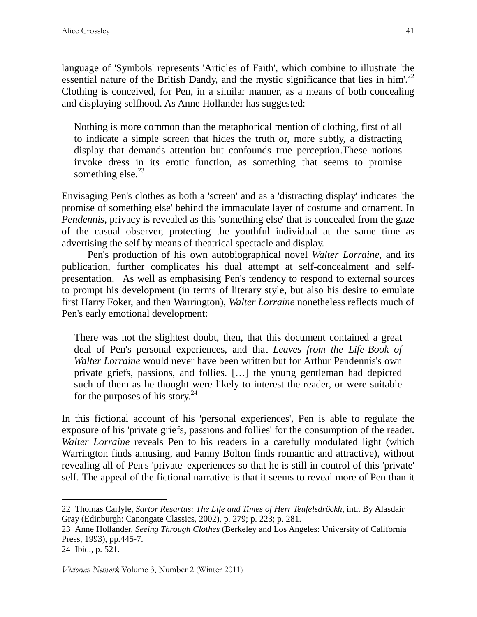language of 'Symbols' represents 'Articles of Faith', which combine to illustrate 'the essential nature of the British Dandy, and the mystic significance that lies in him'.<sup>22</sup> Clothing is conceived, for Pen, in a similar manner, as a means of both concealing and displaying selfhood. As Anne Hollander has suggested:

Nothing is more common than the metaphorical mention of clothing, first of all to indicate a simple screen that hides the truth or, more subtly, a distracting display that demands attention but confounds true perception.These notions invoke dress in its erotic function, as something that seems to promise something else. $^{23}$ 

Envisaging Pen's clothes as both a 'screen' and as a 'distracting display' indicates 'the promise of something else' behind the immaculate layer of costume and ornament. In *Pendennis*, privacy is revealed as this 'something else' that is concealed from the gaze of the casual observer, protecting the youthful individual at the same time as advertising the self by means of theatrical spectacle and display.

 Pen's production of his own autobiographical novel *Walter Lorraine*, and its publication, further complicates his dual attempt at self-concealment and selfpresentation. As well as emphasising Pen's tendency to respond to external sources to prompt his development (in terms of literary style, but also his desire to emulate first Harry Foker, and then Warrington), *Walter Lorraine* nonetheless reflects much of Pen's early emotional development:

There was not the slightest doubt, then, that this document contained a great deal of Pen's personal experiences, and that *Leaves from the Life-Book of Walter Lorraine* would never have been written but for Arthur Pendennis's own private griefs, passions, and follies. […] the young gentleman had depicted such of them as he thought were likely to interest the reader, or were suitable for the purposes of his story. $^{24}$ 

In this fictional account of his 'personal experiences', Pen is able to regulate the exposure of his 'private griefs, passions and follies' for the consumption of the reader. *Walter Lorraine* reveals Pen to his readers in a carefully modulated light (which Warrington finds amusing, and Fanny Bolton finds romantic and attractive), without revealing all of Pen's 'private' experiences so that he is still in control of this 'private' self. The appeal of the fictional narrative is that it seems to reveal more of Pen than it

<sup>22</sup> Thomas Carlyle, *Sartor Resartus: The Life and Times of Herr Teufelsdröckh*, intr. By Alasdair Gray (Edinburgh: Canongate Classics, 2002), p. 279; p. 223; p. 281.

<sup>23</sup> Anne Hollander, *Seeing Through Clothes* (Berkeley and Los Angeles: University of California Press, 1993), pp.445-7.

<sup>24</sup> Ibid., p. 521.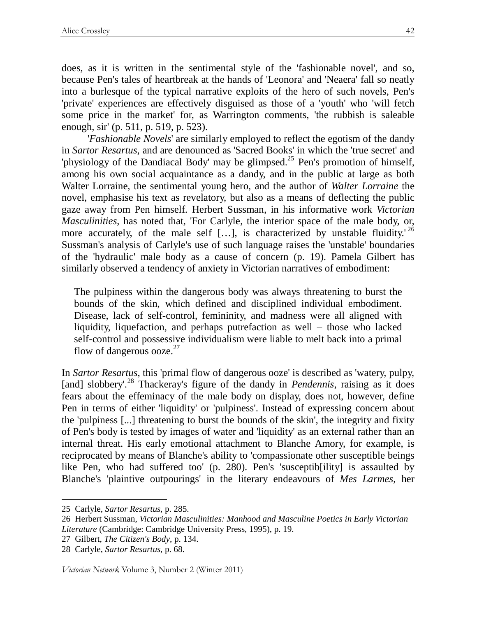does, as it is written in the sentimental style of the 'fashionable novel', and so, because Pen's tales of heartbreak at the hands of 'Leonora' and 'Neaera' fall so neatly into a burlesque of the typical narrative exploits of the hero of such novels, Pen's 'private' experiences are effectively disguised as those of a 'youth' who 'will fetch some price in the market' for, as Warrington comments, 'the rubbish is saleable enough, sir' (p. 511, p. 519, p. 523).

 '*Fashionable Novels*' are similarly employed to reflect the egotism of the dandy in *Sartor Resartus*, and are denounced as 'Sacred Books' in which the 'true secret' and 'physiology of the Dandiacal Body' may be glimpsed.<sup>25</sup> Pen's promotion of himself, among his own social acquaintance as a dandy, and in the public at large as both Walter Lorraine, the sentimental young hero, and the author of *Walter Lorraine* the novel, emphasise his text as revelatory, but also as a means of deflecting the public gaze away from Pen himself. Herbert Sussman, in his informative work *Victorian Masculinities*, has noted that, 'For Carlyle, the interior space of the male body, or, more accurately, of the male self [...], is characterized by unstable fluidity.<sup>'26</sup> Sussman's analysis of Carlyle's use of such language raises the 'unstable' boundaries of the 'hydraulic' male body as a cause of concern (p. 19). Pamela Gilbert has similarly observed a tendency of anxiety in Victorian narratives of embodiment:

The pulpiness within the dangerous body was always threatening to burst the bounds of the skin, which defined and disciplined individual embodiment. Disease, lack of self-control, femininity, and madness were all aligned with liquidity, liquefaction, and perhaps putrefaction as well – those who lacked self-control and possessive individualism were liable to melt back into a primal flow of dangerous ooze. $27$ 

In *Sartor Resartus*, this 'primal flow of dangerous ooze' is described as 'watery, pulpy, [and] slobbery'.<sup>28</sup> Thackeray's figure of the dandy in *Pendennis*, raising as it does fears about the effeminacy of the male body on display, does not, however, define Pen in terms of either 'liquidity' or 'pulpiness'. Instead of expressing concern about the 'pulpiness [...] threatening to burst the bounds of the skin', the integrity and fixity of Pen's body is tested by images of water and 'liquidity' as an external rather than an internal threat. His early emotional attachment to Blanche Amory, for example, is reciprocated by means of Blanche's ability to 'compassionate other susceptible beings like Pen, who had suffered too' (p. 280). Pen's 'susceptib[ility] is assaulted by Blanche's 'plaintive outpourings' in the literary endeavours of *Mes Larmes*, her

 $\overline{a}$ 

Victorian Network Volume 3, Number 2 (Winter 2011)

<sup>25</sup> Carlyle, *Sartor Resartus*, p. 285.

<sup>26</sup> Herbert Sussman, *Victorian Masculinities: Manhood and Masculine Poetics in Early Victorian Literature* (Cambridge: Cambridge University Press, 1995), p. 19.

<sup>27</sup> Gilbert, *The Citizen's Body*, p. 134.

<sup>28</sup> Carlyle, *Sartor Resartus*, p. 68.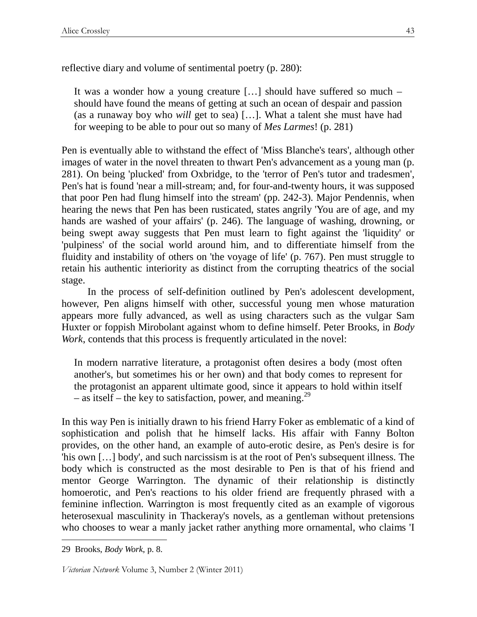reflective diary and volume of sentimental poetry (p. 280):

It was a wonder how a young creature […] should have suffered so much – should have found the means of getting at such an ocean of despair and passion (as a runaway boy who *will* get to sea) […]. What a talent she must have had for weeping to be able to pour out so many of *Mes Larmes*! (p. 281)

Pen is eventually able to withstand the effect of 'Miss Blanche's tears', although other images of water in the novel threaten to thwart Pen's advancement as a young man (p. 281). On being 'plucked' from Oxbridge, to the 'terror of Pen's tutor and tradesmen', Pen's hat is found 'near a mill-stream; and, for four-and-twenty hours, it was supposed that poor Pen had flung himself into the stream' (pp. 242-3). Major Pendennis, when hearing the news that Pen has been rusticated, states angrily 'You are of age, and my hands are washed of your affairs' (p. 246). The language of washing, drowning, or being swept away suggests that Pen must learn to fight against the 'liquidity' or 'pulpiness' of the social world around him, and to differentiate himself from the fluidity and instability of others on 'the voyage of life' (p. 767). Pen must struggle to retain his authentic interiority as distinct from the corrupting theatrics of the social stage.

 In the process of self-definition outlined by Pen's adolescent development, however, Pen aligns himself with other, successful young men whose maturation appears more fully advanced, as well as using characters such as the vulgar Sam Huxter or foppish Mirobolant against whom to define himself. Peter Brooks, in *Body Work*, contends that this process is frequently articulated in the novel:

In modern narrative literature, a protagonist often desires a body (most often another's, but sometimes his or her own) and that body comes to represent for the protagonist an apparent ultimate good, since it appears to hold within itself – as itself – the key to satisfaction, power, and meaning.<sup>29</sup>

In this way Pen is initially drawn to his friend Harry Foker as emblematic of a kind of sophistication and polish that he himself lacks. His affair with Fanny Bolton provides, on the other hand, an example of auto-erotic desire, as Pen's desire is for 'his own […] body', and such narcissism is at the root of Pen's subsequent illness. The body which is constructed as the most desirable to Pen is that of his friend and mentor George Warrington. The dynamic of their relationship is distinctly homoerotic, and Pen's reactions to his older friend are frequently phrased with a feminine inflection. Warrington is most frequently cited as an example of vigorous heterosexual masculinity in Thackeray's novels, as a gentleman without pretensions who chooses to wear a manly jacket rather anything more ornamental, who claims 'I

<sup>29</sup> Brooks, *Body Work*, p. 8.

Victorian Network Volume 3, Number 2 (Winter 2011)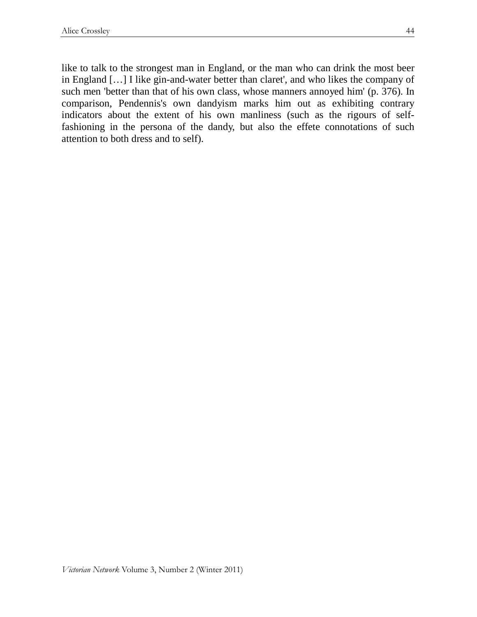like to talk to the strongest man in England, or the man who can drink the most beer in England […] I like gin-and-water better than claret', and who likes the company of such men 'better than that of his own class, whose manners annoyed him' (p. 376). In comparison, Pendennis's own dandyism marks him out as exhibiting contrary indicators about the extent of his own manliness (such as the rigours of selffashioning in the persona of the dandy, but also the effete connotations of such attention to both dress and to self).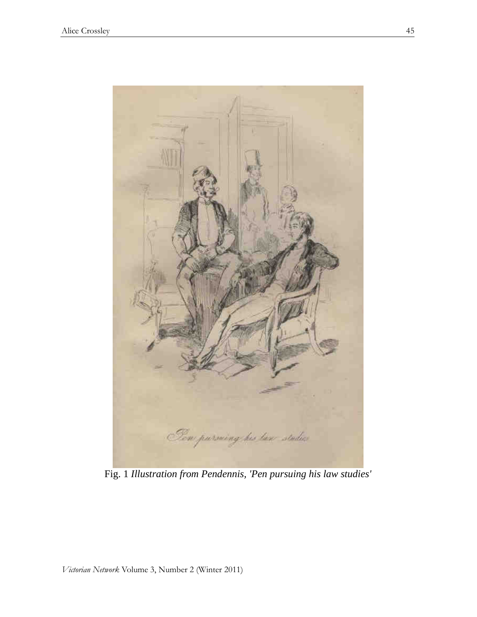

Fig. 1 *Illustration from Pendennis, 'Pen pursuing his law studies'*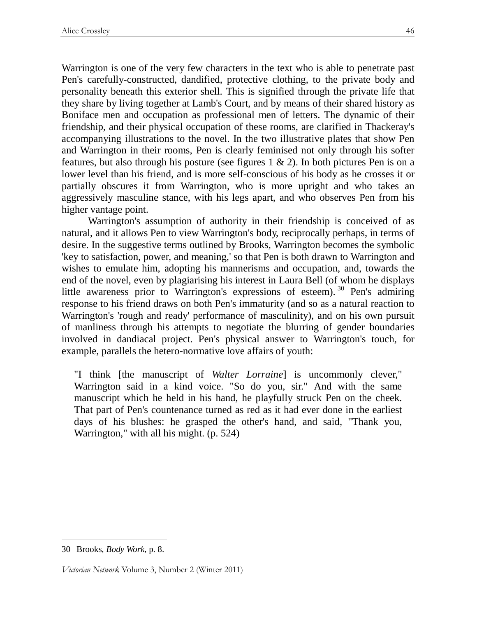Warrington is one of the very few characters in the text who is able to penetrate past Pen's carefully-constructed, dandified, protective clothing, to the private body and personality beneath this exterior shell. This is signified through the private life that they share by living together at Lamb's Court, and by means of their shared history as Boniface men and occupation as professional men of letters. The dynamic of their friendship, and their physical occupation of these rooms, are clarified in Thackeray's accompanying illustrations to the novel. In the two illustrative plates that show Pen and Warrington in their rooms, Pen is clearly feminised not only through his softer features, but also through his posture (see figures  $1 \& 2$ ). In both pictures Pen is on a lower level than his friend, and is more self-conscious of his body as he crosses it or partially obscures it from Warrington, who is more upright and who takes an aggressively masculine stance, with his legs apart, and who observes Pen from his higher vantage point.

Warrington's assumption of authority in their friendship is conceived of as natural, and it allows Pen to view Warrington's body, reciprocally perhaps, in terms of desire. In the suggestive terms outlined by Brooks, Warrington becomes the symbolic 'key to satisfaction, power, and meaning,' so that Pen is both drawn to Warrington and wishes to emulate him, adopting his mannerisms and occupation, and, towards the end of the novel, even by plagiarising his interest in Laura Bell (of whom he displays little awareness prior to Warrington's expressions of esteem). <sup>30</sup> Pen's admiring response to his friend draws on both Pen's immaturity (and so as a natural reaction to Warrington's 'rough and ready' performance of masculinity), and on his own pursuit of manliness through his attempts to negotiate the blurring of gender boundaries involved in dandiacal project. Pen's physical answer to Warrington's touch, for example, parallels the hetero-normative love affairs of youth:

"I think [the manuscript of *Walter Lorraine*] is uncommonly clever," Warrington said in a kind voice. "So do you, sir." And with the same manuscript which he held in his hand, he playfully struck Pen on the cheek. That part of Pen's countenance turned as red as it had ever done in the earliest days of his blushes: he grasped the other's hand, and said, "Thank you, Warrington," with all his might. (p. 524)

<sup>30</sup> Brooks, *Body Work*, p. 8.

Victorian Network Volume 3, Number 2 (Winter 2011)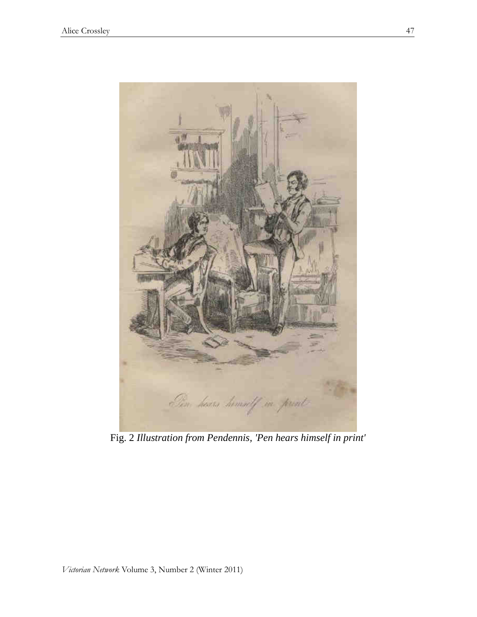

Fig. 2 *Illustration from Pendennis, 'Pen hears himself in print'*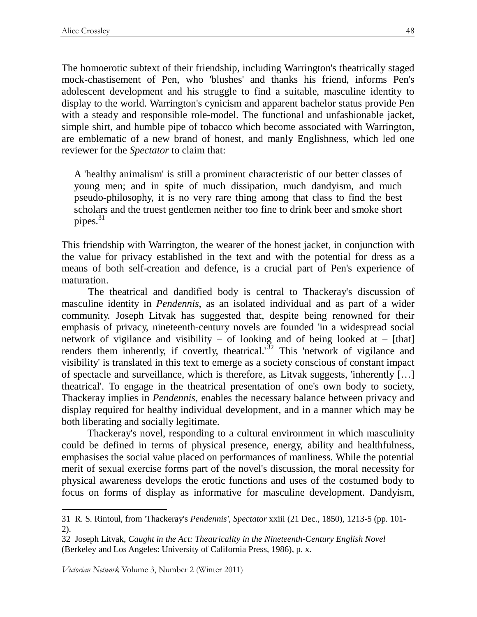The homoerotic subtext of their friendship, including Warrington's theatrically staged mock-chastisement of Pen, who 'blushes' and thanks his friend, informs Pen's adolescent development and his struggle to find a suitable, masculine identity to display to the world. Warrington's cynicism and apparent bachelor status provide Pen with a steady and responsible role-model. The functional and unfashionable jacket, simple shirt, and humble pipe of tobacco which become associated with Warrington, are emblematic of a new brand of honest, and manly Englishness, which led one reviewer for the *Spectator* to claim that:

A 'healthy animalism' is still a prominent characteristic of our better classes of young men; and in spite of much dissipation, much dandyism, and much pseudo-philosophy, it is no very rare thing among that class to find the best scholars and the truest gentlemen neither too fine to drink beer and smoke short pipes. $31$ 

This friendship with Warrington, the wearer of the honest jacket, in conjunction with the value for privacy established in the text and with the potential for dress as a means of both self-creation and defence, is a crucial part of Pen's experience of maturation.

The theatrical and dandified body is central to Thackeray's discussion of masculine identity in *Pendennis*, as an isolated individual and as part of a wider community. Joseph Litvak has suggested that, despite being renowned for their emphasis of privacy, nineteenth-century novels are founded 'in a widespread social network of vigilance and visibility – of looking and of being looked at – [that] renders them inherently, if covertly, theatrical.'<sup>32</sup> This 'network of vigilance and visibility' is translated in this text to emerge as a society conscious of constant impact of spectacle and surveillance, which is therefore, as Litvak suggests, 'inherently […] theatrical'. To engage in the theatrical presentation of one's own body to society, Thackeray implies in *Pendennis*, enables the necessary balance between privacy and display required for healthy individual development, and in a manner which may be both liberating and socially legitimate.

 Thackeray's novel, responding to a cultural environment in which masculinity could be defined in terms of physical presence, energy, ability and healthfulness, emphasises the social value placed on performances of manliness. While the potential merit of sexual exercise forms part of the novel's discussion, the moral necessity for physical awareness develops the erotic functions and uses of the costumed body to focus on forms of display as informative for masculine development. Dandyism,

Victorian Network Volume 3, Number 2 (Winter 2011)

 $\ddot{\phantom{a}}$ 

<sup>31</sup> R. S. Rintoul, from 'Thackeray's *Pendennis'*, *Spectator* xxiii (21 Dec., 1850), 1213-5 (pp. 101- 2).

<sup>32</sup> Joseph Litvak, *Caught in the Act: Theatricality in the Nineteenth-Century English Novel* (Berkeley and Los Angeles: University of California Press, 1986), p. x.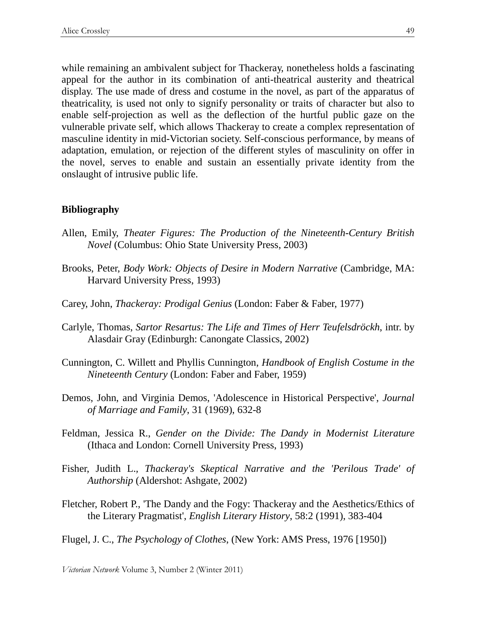while remaining an ambivalent subject for Thackeray, nonetheless holds a fascinating appeal for the author in its combination of anti-theatrical austerity and theatrical display. The use made of dress and costume in the novel, as part of the apparatus of theatricality, is used not only to signify personality or traits of character but also to enable self-projection as well as the deflection of the hurtful public gaze on the vulnerable private self, which allows Thackeray to create a complex representation of masculine identity in mid-Victorian society. Self-conscious performance, by means of adaptation, emulation, or rejection of the different styles of masculinity on offer in the novel, serves to enable and sustain an essentially private identity from the onslaught of intrusive public life.

## **Bibliography**

- Allen, Emily, *Theater Figures: The Production of the Nineteenth-Century British Novel* (Columbus: Ohio State University Press, 2003)
- Brooks, Peter, *Body Work: Objects of Desire in Modern Narrative* (Cambridge, MA: Harvard University Press, 1993)
- Carey, John, *Thackeray: Prodigal Genius* (London: Faber & Faber, 1977)
- Carlyle, Thomas, *Sartor Resartus: The Life and Times of Herr Teufelsdröckh*, intr. by Alasdair Gray (Edinburgh: Canongate Classics, 2002)
- Cunnington, C. Willett and Phyllis Cunnington, *Handbook of English Costume in the Nineteenth Century* (London: Faber and Faber, 1959)
- Demos, John, and Virginia Demos, 'Adolescence in Historical Perspective', *Journal of Marriage and Family*, 31 (1969), 632-8
- Feldman, Jessica R., *Gender on the Divide: The Dandy in Modernist Literature* (Ithaca and London: Cornell University Press, 1993)
- Fisher, Judith L.*, Thackeray's Skeptical Narrative and the 'Perilous Trade' of Authorship* (Aldershot: Ashgate, 2002)
- Fletcher, Robert P., 'The Dandy and the Fogy: Thackeray and the Aesthetics/Ethics of the Literary Pragmatist', *English Literary History*, 58:2 (1991), 383-404
- Flugel, J. C., *The Psychology of Clothes*, (New York: AMS Press, 1976 [1950])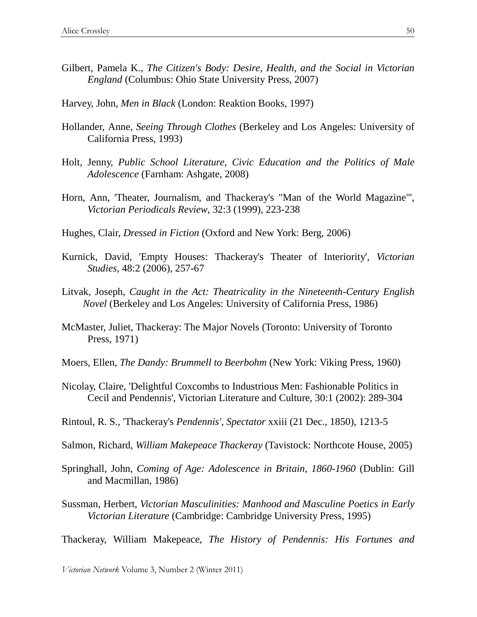- Gilbert, Pamela K., *The Citizen's Body: Desire, Health, and the Social in Victorian England* (Columbus: Ohio State University Press, 2007)
- Harvey, John, *Men in Black* (London: Reaktion Books, 1997)
- Hollander, Anne, *Seeing Through Clothes* (Berkeley and Los Angeles: University of California Press, 1993)
- Holt, Jenny, *Public School Literature, Civic Education and the Politics of Male Adolescence* (Farnham: Ashgate, 2008)
- Horn, Ann, 'Theater, Journalism, and Thackeray's "Man of the World Magazine"', *Victorian Periodicals Review*, 32:3 (1999), 223-238
- Hughes, Clair, *Dressed in Fiction* (Oxford and New York: Berg, 2006)
- Kurnick, David, 'Empty Houses: Thackeray's Theater of Interiority', *Victorian Studies*, 48:2 (2006), 257-67
- Litvak, Joseph, *Caught in the Act: Theatricality in the Nineteenth-Century English Novel* (Berkeley and Los Angeles: University of California Press, 1986)
- McMaster, Juliet, Thackeray: The Major Novels (Toronto: University of Toronto Press, 1971)
- Moers, Ellen, *The Dandy: Brummell to Beerbohm* (New York: Viking Press, 1960)
- Nicolay, Claire, 'Delightful Coxcombs to Industrious Men: Fashionable Politics in Cecil and Pendennis', Victorian Literature and Culture, 30:1 (2002): 289-304
- Rintoul, R. S., 'Thackeray's *Pendennis'*, *Spectator* xxiii (21 Dec., 1850), 1213-5
- Salmon, Richard, *William Makepeace Thackeray* (Tavistock: Northcote House, 2005)
- Springhall, John, *Coming of Age: Adolescence in Britain, 1860-1960* (Dublin: Gill and Macmillan, 1986)
- Sussman, Herbert, *Victorian Masculinities: Manhood and Masculine Poetics in Early Victorian Literature* (Cambridge: Cambridge University Press, 1995)

Thackeray, William Makepeace, *The History of Pendennis: His Fortunes and*